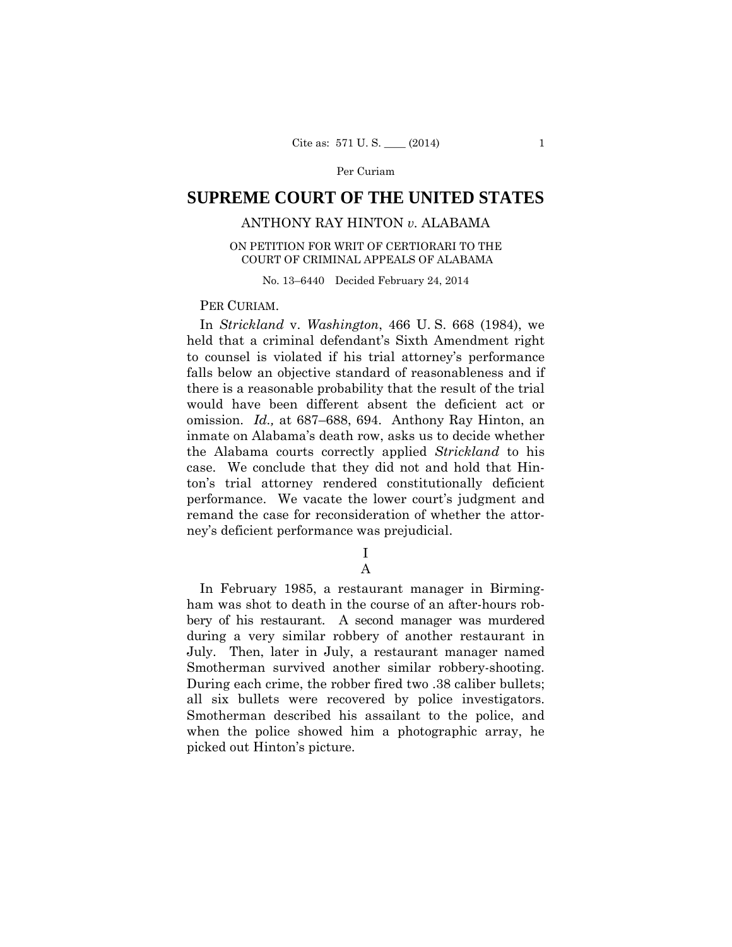# **SUPREME COURT OF THE UNITED STATES**

# ANTHONY RAY HINTON *v.* ALABAMA

# ON PETITION FOR WRIT OF CERTIORARI TO THE COURT OF CRIMINAL APPEALS OF ALABAMA

No. 13–6440 Decided February 24, 2014

# PER CURIAM.

In *Strickland* v. *Washington*, 466 U. S. 668 (1984), we held that a criminal defendant's Sixth Amendment right to counsel is violated if his trial attorney's performance falls below an objective standard of reasonableness and if there is a reasonable probability that the result of the trial would have been different absent the deficient act or omission. *Id.,* at 687–688, 694. Anthony Ray Hinton, an inmate on Alabama's death row, asks us to decide whether the Alabama courts correctly applied *Strickland* to his case. We conclude that they did not and hold that Hinton's trial attorney rendered constitutionally deficient performance. We vacate the lower court's judgment and remand the case for reconsideration of whether the attorney's deficient performance was prejudicial.

# I A

In February 1985, a restaurant manager in Birmingham was shot to death in the course of an after-hours robbery of his restaurant. A second manager was murdered during a very similar robbery of another restaurant in July. Then, later in July, a restaurant manager named Smotherman survived another similar robbery-shooting. During each crime, the robber fired two .38 caliber bullets; all six bullets were recovered by police investigators. Smotherman described his assailant to the police, and when the police showed him a photographic array, he picked out Hinton's picture.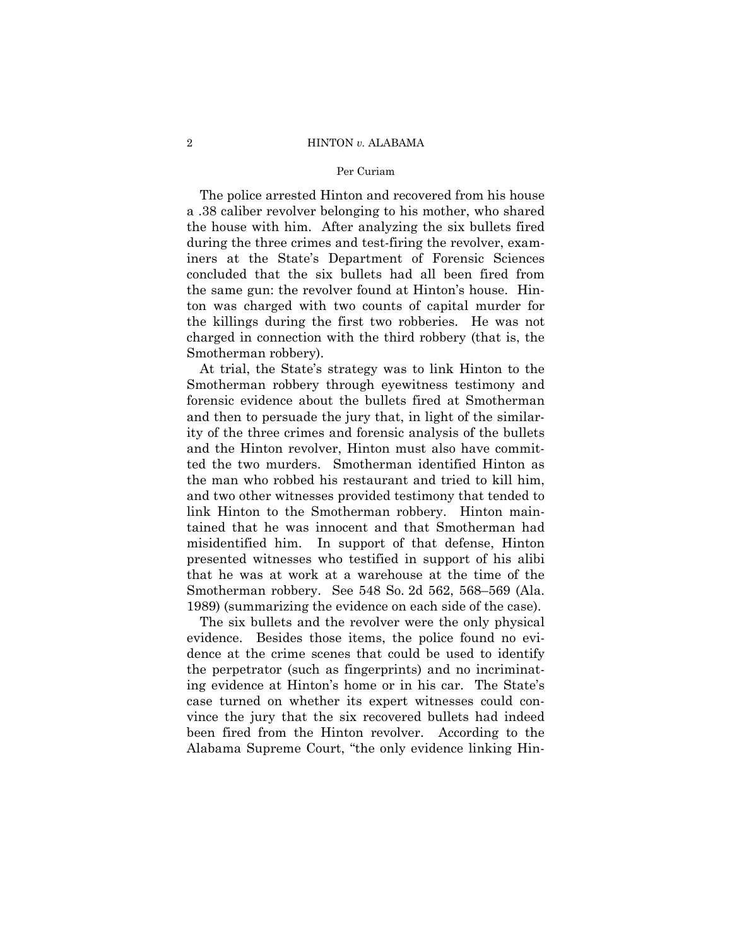## Per Curiam

The police arrested Hinton and recovered from his house a .38 caliber revolver belonging to his mother, who shared the house with him. After analyzing the six bullets fired during the three crimes and test-firing the revolver, examiners at the State's Department of Forensic Sciences concluded that the six bullets had all been fired from the same gun: the revolver found at Hinton's house. Hinton was charged with two counts of capital murder for the killings during the first two robberies. He was not charged in connection with the third robbery (that is, the Smotherman robbery).

At trial, the State's strategy was to link Hinton to the Smotherman robbery through eyewitness testimony and forensic evidence about the bullets fired at Smotherman and then to persuade the jury that, in light of the similarity of the three crimes and forensic analysis of the bullets and the Hinton revolver, Hinton must also have committed the two murders. Smotherman identified Hinton as the man who robbed his restaurant and tried to kill him, and two other witnesses provided testimony that tended to link Hinton to the Smotherman robbery. Hinton maintained that he was innocent and that Smotherman had misidentified him. In support of that defense, Hinton presented witnesses who testified in support of his alibi that he was at work at a warehouse at the time of the Smotherman robbery. See 548 So. 2d 562, 568–569 (Ala. 1989) (summarizing the evidence on each side of the case).

The six bullets and the revolver were the only physical evidence. Besides those items, the police found no evidence at the crime scenes that could be used to identify the perpetrator (such as fingerprints) and no incriminating evidence at Hinton's home or in his car. The State's case turned on whether its expert witnesses could convince the jury that the six recovered bullets had indeed been fired from the Hinton revolver. According to the Alabama Supreme Court, "the only evidence linking Hin-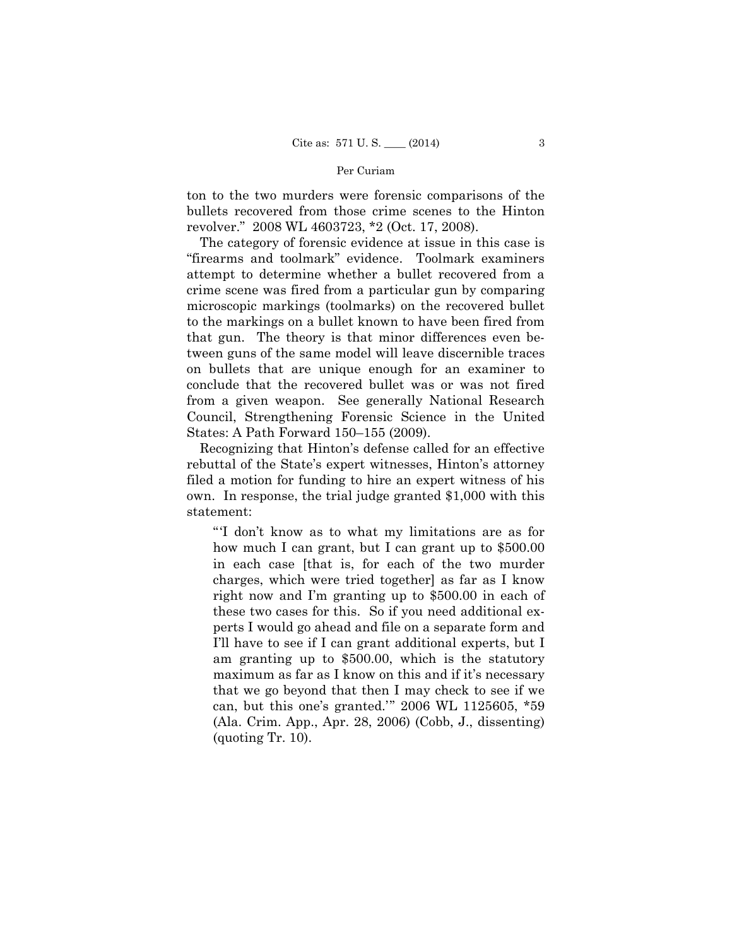ton to the two murders were forensic comparisons of the bullets recovered from those crime scenes to the Hinton revolver." 2008 WL 4603723, \*2 (Oct. 17, 2008).

The category of forensic evidence at issue in this case is "firearms and toolmark" evidence. Toolmark examiners attempt to determine whether a bullet recovered from a crime scene was fired from a particular gun by comparing microscopic markings (toolmarks) on the recovered bullet to the markings on a bullet known to have been fired from that gun. The theory is that minor differences even between guns of the same model will leave discernible traces on bullets that are unique enough for an examiner to conclude that the recovered bullet was or was not fired from a given weapon. See generally National Research Council, Strengthening Forensic Science in the United States: A Path Forward 150–155 (2009).

 Recognizing that Hinton's defense called for an effective rebuttal of the State's expert witnesses, Hinton's attorney filed a motion for funding to hire an expert witness of his own. In response, the trial judge granted \$1,000 with this statement:

"'I don't know as to what my limitations are as for how much I can grant, but I can grant up to \$500.00 in each case [that is, for each of the two murder charges, which were tried together] as far as I know right now and I'm granting up to \$500.00 in each of these two cases for this. So if you need additional experts I would go ahead and file on a separate form and I'll have to see if I can grant additional experts, but I am granting up to \$500.00, which is the statutory maximum as far as I know on this and if it's necessary that we go beyond that then I may check to see if we can, but this one's granted.'" 2006 WL 1125605, \*59 (Ala. Crim. App., Apr. 28, 2006) (Cobb, J., dissenting) (quoting Tr. 10).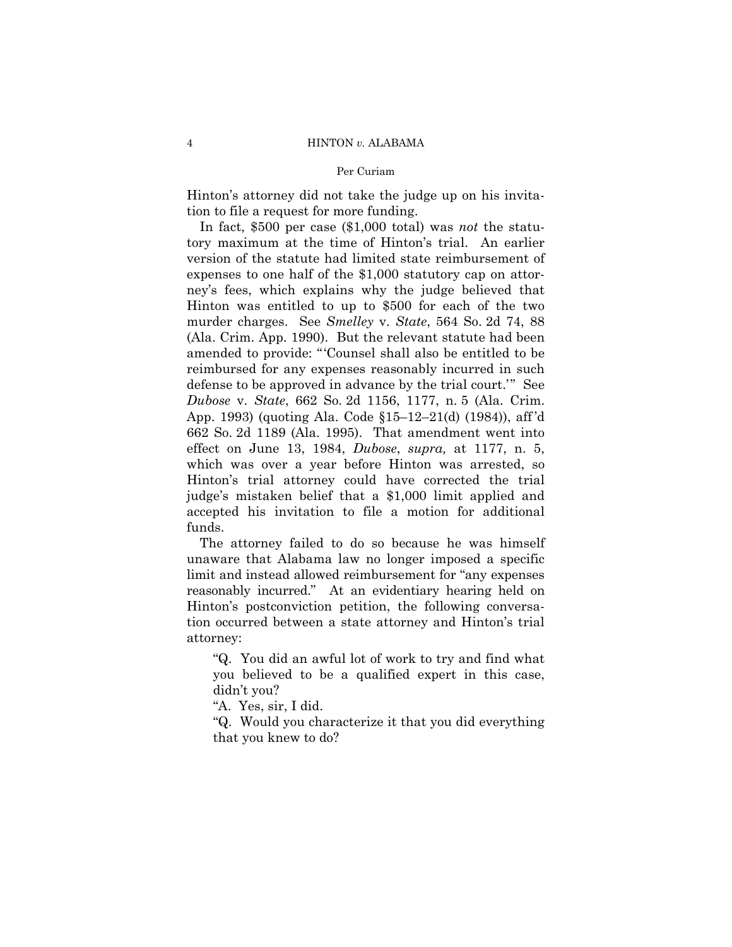Hinton's attorney did not take the judge up on his invitation to file a request for more funding.

In fact, \$500 per case (\$1,000 total) was *not* the statutory maximum at the time of Hinton's trial. An earlier version of the statute had limited state reimbursement of expenses to one half of the \$1,000 statutory cap on attorney's fees, which explains why the judge believed that Hinton was entitled to up to \$500 for each of the two murder charges. See *Smelley* v. *State*, 564 So. 2d 74, 88 (Ala. Crim. App. 1990). But the relevant statute had been amended to provide: "'Counsel shall also be entitled to be reimbursed for any expenses reasonably incurred in such defense to be approved in advance by the trial court.'" See *Dubose* v. *State*, 662 So. 2d 1156, 1177, n. 5 (Ala. Crim. App. 1993) (quoting Ala. Code §15–12–21(d) (1984)), aff 'd 662 So. 2d 1189 (Ala. 1995). That amendment went into effect on June 13, 1984, *Dubose*, *supra,* at 1177, n. 5, which was over a year before Hinton was arrested, so Hinton's trial attorney could have corrected the trial judge's mistaken belief that a \$1,000 limit applied and accepted his invitation to file a motion for additional funds.

 reasonably incurred." At an evidentiary hearing held on The attorney failed to do so because he was himself unaware that Alabama law no longer imposed a specific limit and instead allowed reimbursement for "any expenses Hinton's postconviction petition, the following conversation occurred between a state attorney and Hinton's trial attorney:

"Q. You did an awful lot of work to try and find what you believed to be a qualified expert in this case, didn't you?

"A. Yes, sir, I did.

"Q. Would you characterize it that you did everything that you knew to do?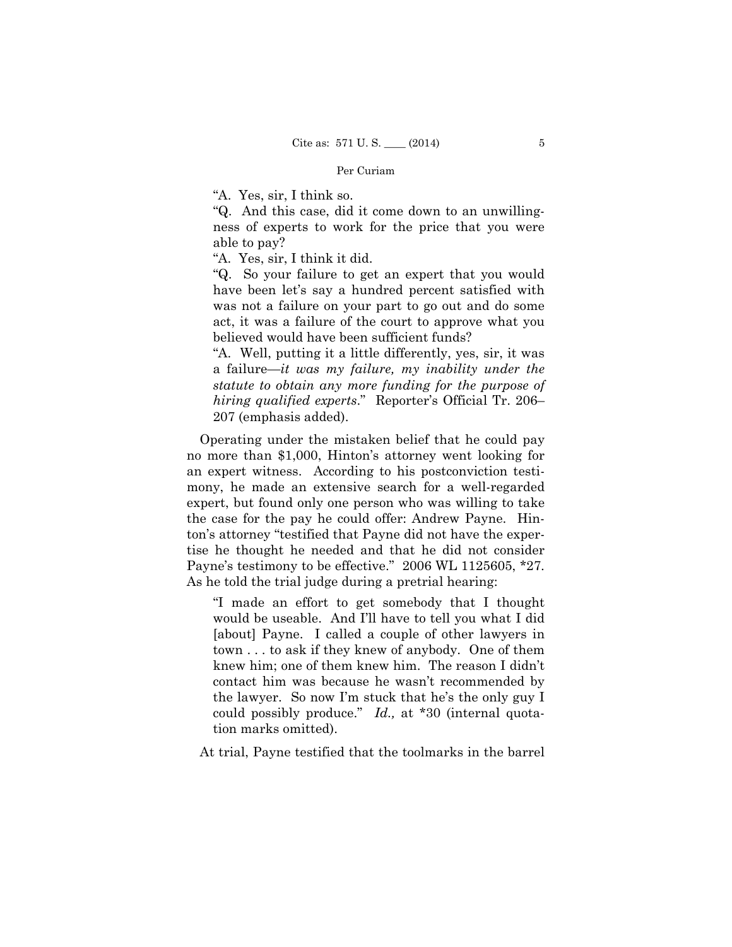"A. Yes, sir, I think so.

"Q. And this case, did it come down to an unwillingness of experts to work for the price that you were able to pay?

"A. Yes, sir, I think it did.

"Q. So your failure to get an expert that you would have been let's say a hundred percent satisfied with was not a failure on your part to go out and do some act, it was a failure of the court to approve what you believed would have been sufficient funds?

"A. Well, putting it a little differently, yes, sir, it was a failure—*it was my failure, my inability under the statute to obtain any more funding for the purpose of hiring qualified experts*." Reporter's Official Tr. 206– 207 (emphasis added).

Operating under the mistaken belief that he could pay no more than \$1,000, Hinton's attorney went looking for an expert witness. According to his postconviction testimony, he made an extensive search for a well-regarded expert, but found only one person who was willing to take the case for the pay he could offer: Andrew Payne. Hinton's attorney "testified that Payne did not have the expertise he thought he needed and that he did not consider Payne's testimony to be effective." 2006 WL 1125605, \*27. As he told the trial judge during a pretrial hearing:

"I made an effort to get somebody that I thought would be useable. And I'll have to tell you what I did [about] Payne. I called a couple of other lawyers in town . . . to ask if they knew of anybody. One of them knew him; one of them knew him. The reason I didn't contact him was because he wasn't recommended by the lawyer. So now I'm stuck that he's the only guy I could possibly produce." *Id.,* at \*30 (internal quotation marks omitted).

At trial, Payne testified that the toolmarks in the barrel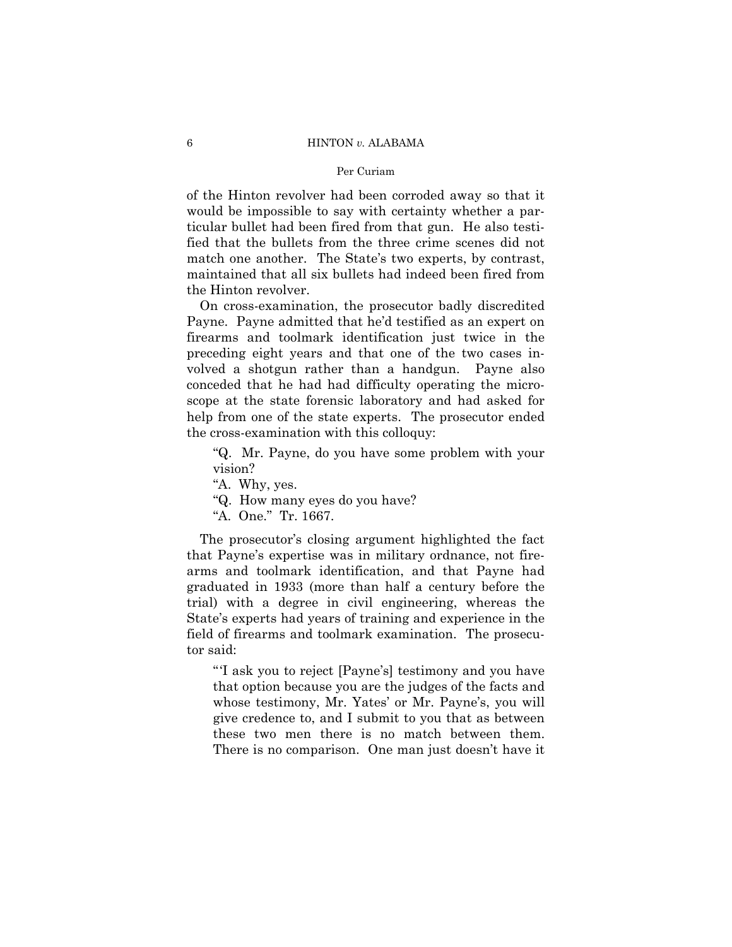# Per Curiam

of the Hinton revolver had been corroded away so that it would be impossible to say with certainty whether a particular bullet had been fired from that gun. He also testified that the bullets from the three crime scenes did not match one another. The State's two experts, by contrast, maintained that all six bullets had indeed been fired from the Hinton revolver.

On cross-examination, the prosecutor badly discredited Payne. Payne admitted that he'd testified as an expert on firearms and toolmark identification just twice in the preceding eight years and that one of the two cases involved a shotgun rather than a handgun. Payne also conceded that he had had difficulty operating the microscope at the state forensic laboratory and had asked for help from one of the state experts. The prosecutor ended the cross-examination with this colloquy:

"Q. Mr. Payne, do you have some problem with your vision?

- "A. Why, yes.
- "Q. How many eyes do you have?
- "A. One." Tr. 1667.

The prosecutor's closing argument highlighted the fact that Payne's expertise was in military ordnance, not firearms and toolmark identification, and that Payne had graduated in 1933 (more than half a century before the trial) with a degree in civil engineering, whereas the State's experts had years of training and experience in the field of firearms and toolmark examination. The prosecutor said:

"'I ask you to reject [Payne's] testimony and you have that option because you are the judges of the facts and whose testimony, Mr. Yates' or Mr. Payne's, you will give credence to, and I submit to you that as between these two men there is no match between them. There is no comparison. One man just doesn't have it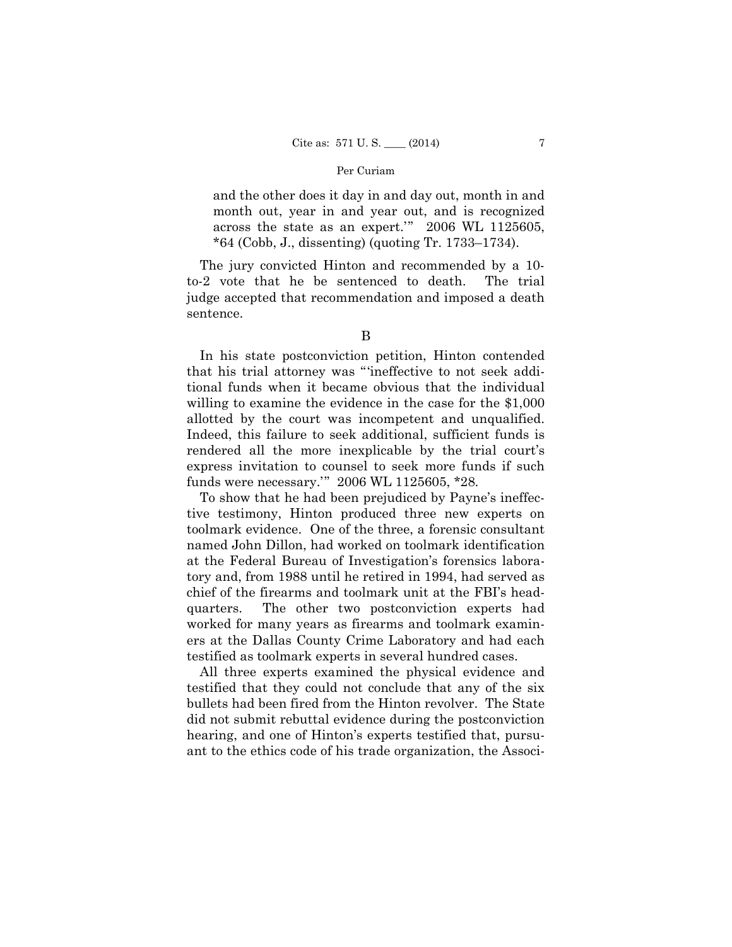and the other does it day in and day out, month in and month out, year in and year out, and is recognized across the state as an expert.'" 2006 WL 1125605, \*64 (Cobb, J., dissenting) (quoting Tr. 1733–1734).

The jury convicted Hinton and recommended by a 10 to-2 vote that he be sentenced to death. The trial judge accepted that recommendation and imposed a death sentence.

In his state postconviction petition, Hinton contended that his trial attorney was "'ineffective to not seek additional funds when it became obvious that the individual willing to examine the evidence in the case for the \$1,000 allotted by the court was incompetent and unqualified. Indeed, this failure to seek additional, sufficient funds is rendered all the more inexplicable by the trial court's express invitation to counsel to seek more funds if such funds were necessary.'" 2006 WL 1125605, \*28.

To show that he had been prejudiced by Payne's ineffective testimony, Hinton produced three new experts on toolmark evidence. One of the three, a forensic consultant named John Dillon, had worked on toolmark identification at the Federal Bureau of Investigation's forensics laboratory and, from 1988 until he retired in 1994, had served as chief of the firearms and toolmark unit at the FBI's headquarters. The other two postconviction experts had worked for many years as firearms and toolmark examiners at the Dallas County Crime Laboratory and had each testified as toolmark experts in several hundred cases.

All three experts examined the physical evidence and testified that they could not conclude that any of the six bullets had been fired from the Hinton revolver. The State did not submit rebuttal evidence during the postconviction hearing, and one of Hinton's experts testified that, pursuant to the ethics code of his trade organization, the Associ-

B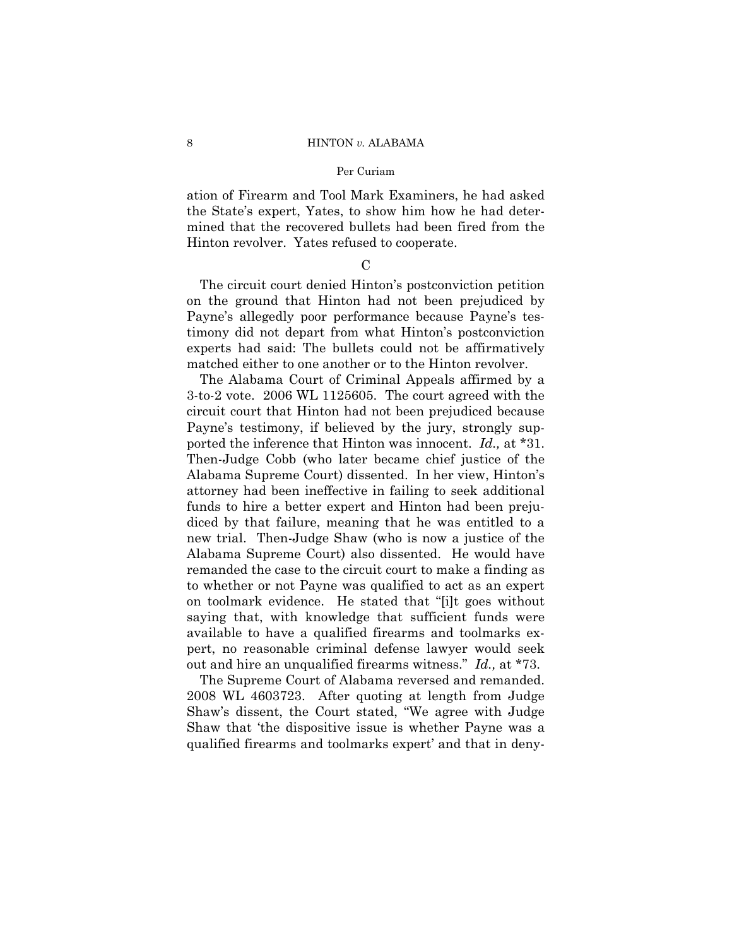ation of Firearm and Tool Mark Examiners, he had asked the State's expert, Yates, to show him how he had determined that the recovered bullets had been fired from the Hinton revolver. Yates refused to cooperate.

 $\mathcal{C}$ 

The circuit court denied Hinton's postconviction petition on the ground that Hinton had not been prejudiced by Payne's allegedly poor performance because Payne's testimony did not depart from what Hinton's postconviction experts had said: The bullets could not be affirmatively matched either to one another or to the Hinton revolver.

 ported the inference that Hinton was innocent. *Id.,* at \*31. The Alabama Court of Criminal Appeals affirmed by a 3-to-2 vote. 2006 WL 1125605. The court agreed with the circuit court that Hinton had not been prejudiced because Payne's testimony, if believed by the jury, strongly sup-Then-Judge Cobb (who later became chief justice of the Alabama Supreme Court) dissented. In her view, Hinton's attorney had been ineffective in failing to seek additional funds to hire a better expert and Hinton had been prejudiced by that failure, meaning that he was entitled to a new trial. Then-Judge Shaw (who is now a justice of the Alabama Supreme Court) also dissented. He would have remanded the case to the circuit court to make a finding as to whether or not Payne was qualified to act as an expert on toolmark evidence. He stated that "[i]t goes without saying that, with knowledge that sufficient funds were available to have a qualified firearms and toolmarks expert, no reasonable criminal defense lawyer would seek out and hire an unqualified firearms witness." *Id.,* at \*73.

The Supreme Court of Alabama reversed and remanded. 2008 WL 4603723. After quoting at length from Judge Shaw's dissent, the Court stated, "We agree with Judge Shaw that 'the dispositive issue is whether Payne was a qualified firearms and toolmarks expert' and that in deny-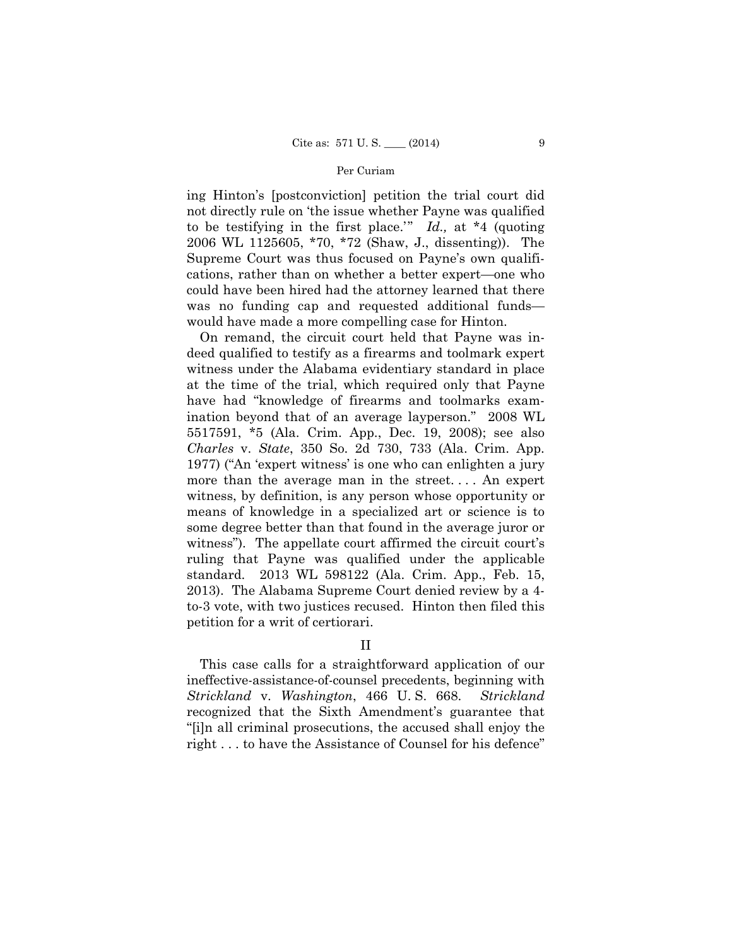ing Hinton's [postconviction] petition the trial court did not directly rule on 'the issue whether Payne was qualified to be testifying in the first place.'" *Id.,* at \*4 (quoting 2006 WL 1125605, \*70, \*72 (Shaw, J., dissenting)). The Supreme Court was thus focused on Payne's own qualifications, rather than on whether a better expert—one who could have been hired had the attorney learned that there was no funding cap and requested additional funds would have made a more compelling case for Hinton.

 means of knowledge in a specialized art or science is to On remand, the circuit court held that Payne was indeed qualified to testify as a firearms and toolmark expert witness under the Alabama evidentiary standard in place at the time of the trial, which required only that Payne have had "knowledge of firearms and toolmarks examination beyond that of an average layperson." 2008 WL 5517591, \*5 (Ala. Crim. App., Dec. 19, 2008); see also *Charles* v. *State*, 350 So. 2d 730, 733 (Ala. Crim. App. 1977) ("An 'expert witness' is one who can enlighten a jury more than the average man in the street. . . . An expert witness, by definition, is any person whose opportunity or some degree better than that found in the average juror or witness"). The appellate court affirmed the circuit court's ruling that Payne was qualified under the applicable standard. 2013 WL 598122 (Ala. Crim. App., Feb. 15, 2013). The Alabama Supreme Court denied review by a 4 to-3 vote, with two justices recused. Hinton then filed this petition for a writ of certiorari.

# II

This case calls for a straightforward application of our ineffective-assistance-of-counsel precedents, beginning with *Strickland* v. *Washington*, 466 U. S. 668. *Strickland*  recognized that the Sixth Amendment's guarantee that "[i]n all criminal prosecutions, the accused shall enjoy the right . . . to have the Assistance of Counsel for his defence"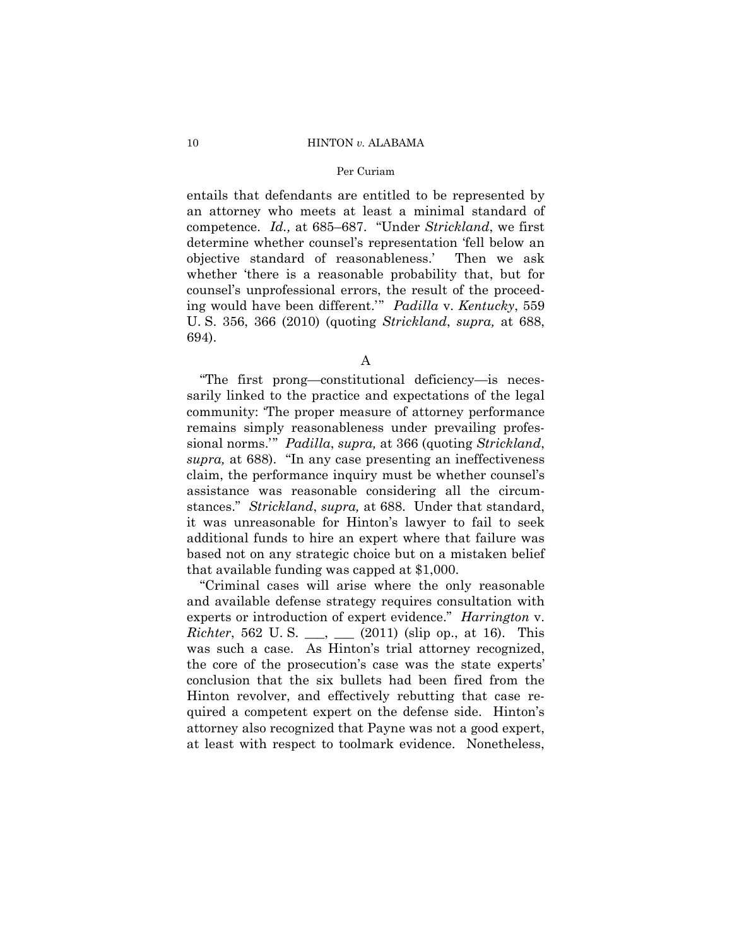## Per Curiam

entails that defendants are entitled to be represented by an attorney who meets at least a minimal standard of competence. *Id.,* at 685–687. "Under *Strickland*, we first determine whether counsel's representation 'fell below an objective standard of reasonableness.' Then we ask whether 'there is a reasonable probability that, but for counsel's unprofessional errors, the result of the proceeding would have been different.'" *Padilla* v. *Kentucky*, 559 U. S. 356, 366 (2010) (quoting *Strickland*, *supra,* at 688, 694).

 "The first prong—constitutional deficiency—is necessarily linked to the practice and expectations of the legal community: 'The proper measure of attorney performance remains simply reasonableness under prevailing professional norms.'" *Padilla*, *supra,* at 366 (quoting *Strickland*, *supra,* at 688). "In any case presenting an ineffectiveness claim, the performance inquiry must be whether counsel's assistance was reasonable considering all the circumstances." *Strickland*, *supra,* at 688. Under that standard, it was unreasonable for Hinton's lawyer to fail to seek additional funds to hire an expert where that failure was based not on any strategic choice but on a mistaken belief that available funding was capped at \$1,000.

"Criminal cases will arise where the only reasonable and available defense strategy requires consultation with experts or introduction of expert evidence." *Harrington* v. *Richter*, 562 U.S. (2011) (slip op., at 16). This was such a case. As Hinton's trial attorney recognized, the core of the prosecution's case was the state experts' conclusion that the six bullets had been fired from the Hinton revolver, and effectively rebutting that case required a competent expert on the defense side. Hinton's attorney also recognized that Payne was not a good expert, at least with respect to toolmark evidence. Nonetheless,

A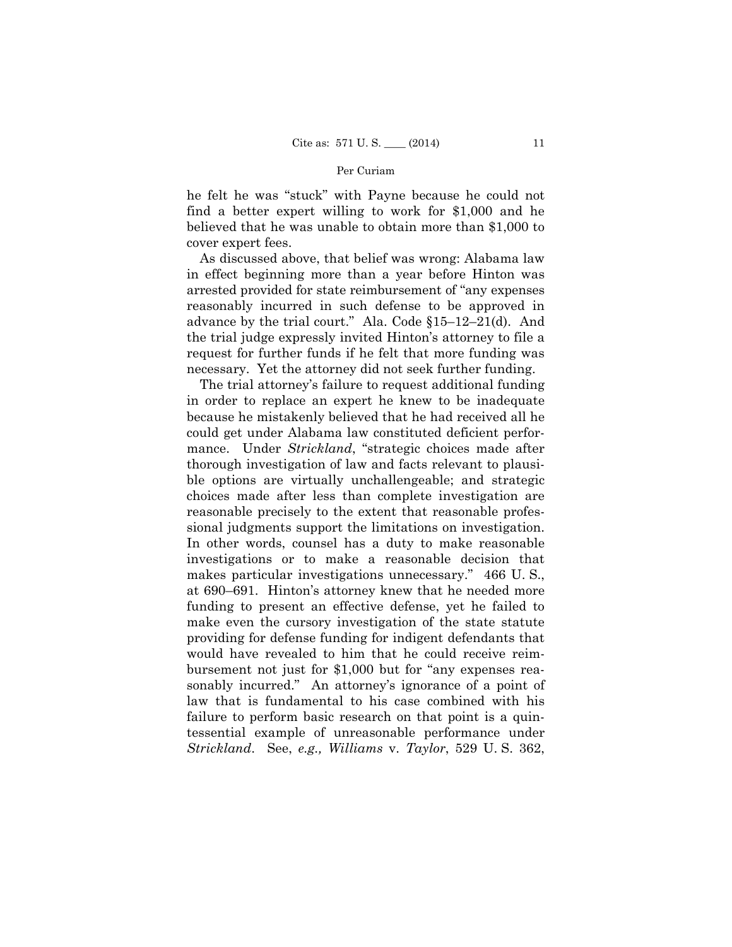he felt he was "stuck" with Payne because he could not find a better expert willing to work for \$1,000 and he believed that he was unable to obtain more than \$1,000 to cover expert fees.

As discussed above, that belief was wrong: Alabama law in effect beginning more than a year before Hinton was arrested provided for state reimbursement of "any expenses reasonably incurred in such defense to be approved in advance by the trial court." Ala. Code §15–12–21(d). And the trial judge expressly invited Hinton's attorney to file a request for further funds if he felt that more funding was necessary. Yet the attorney did not seek further funding.

The trial attorney's failure to request additional funding in order to replace an expert he knew to be inadequate because he mistakenly believed that he had received all he could get under Alabama law constituted deficient performance. Under *Strickland*, "strategic choices made after thorough investigation of law and facts relevant to plausible options are virtually unchallengeable; and strategic choices made after less than complete investigation are reasonable precisely to the extent that reasonable professional judgments support the limitations on investigation. In other words, counsel has a duty to make reasonable investigations or to make a reasonable decision that makes particular investigations unnecessary." 466 U. S., at 690–691. Hinton's attorney knew that he needed more funding to present an effective defense, yet he failed to make even the cursory investigation of the state statute providing for defense funding for indigent defendants that would have revealed to him that he could receive reimbursement not just for \$1,000 but for "any expenses reasonably incurred." An attorney's ignorance of a point of law that is fundamental to his case combined with his failure to perform basic research on that point is a quintessential example of unreasonable performance under *Strickland*. See, *e.g., Williams* v. *Taylor*, 529 U. S. 362,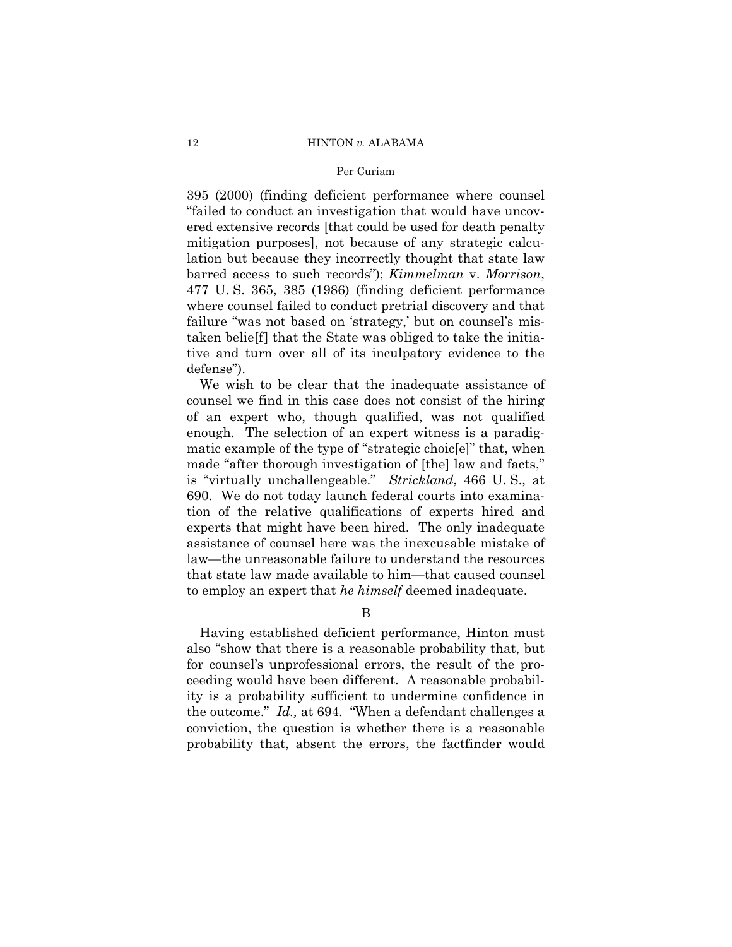## Per Curiam

395 (2000) (finding deficient performance where counsel "failed to conduct an investigation that would have uncovered extensive records [that could be used for death penalty mitigation purposes], not because of any strategic calculation but because they incorrectly thought that state law barred access to such records"); *Kimmelman* v. *Morrison*, 477 U. S. 365, 385 (1986) (finding deficient performance where counsel failed to conduct pretrial discovery and that failure "was not based on 'strategy,' but on counsel's mistaken belie[f] that the State was obliged to take the initiative and turn over all of its inculpatory evidence to the defense").

We wish to be clear that the inadequate assistance of counsel we find in this case does not consist of the hiring of an expert who, though qualified, was not qualified enough. The selection of an expert witness is a paradigmatic example of the type of "strategic choic[e]" that, when made "after thorough investigation of [the] law and facts," is "virtually unchallengeable." *Strickland*, 466 U. S., at 690. We do not today launch federal courts into examination of the relative qualifications of experts hired and experts that might have been hired. The only inadequate assistance of counsel here was the inexcusable mistake of law—the unreasonable failure to understand the resources that state law made available to him—that caused counsel to employ an expert that *he himself* deemed inadequate.

B

Having established deficient performance, Hinton must also "show that there is a reasonable probability that, but for counsel's unprofessional errors, the result of the proceeding would have been different. A reasonable probability is a probability sufficient to undermine confidence in the outcome." *Id.,* at 694. "When a defendant challenges a conviction, the question is whether there is a reasonable probability that, absent the errors, the factfinder would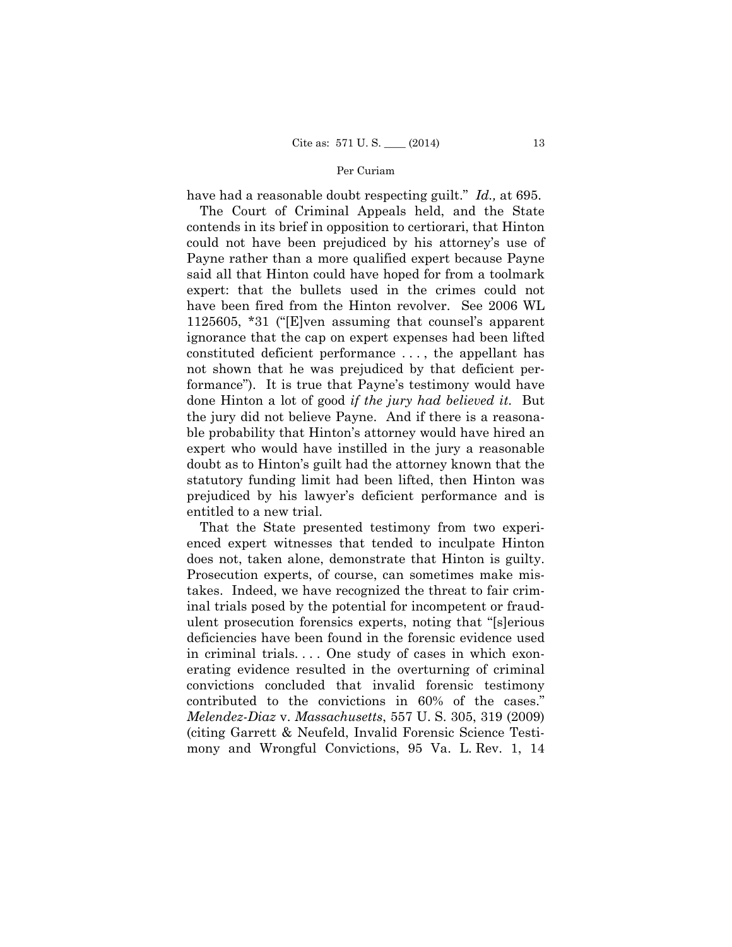have had a reasonable doubt respecting guilt." *Id.,* at 695.

The Court of Criminal Appeals held, and the State contends in its brief in opposition to certiorari, that Hinton could not have been prejudiced by his attorney's use of Payne rather than a more qualified expert because Payne said all that Hinton could have hoped for from a toolmark expert: that the bullets used in the crimes could not have been fired from the Hinton revolver. See 2006 WL 1125605, \*31 ("[E]ven assuming that counsel's apparent ignorance that the cap on expert expenses had been lifted constituted deficient performance . . . , the appellant has not shown that he was prejudiced by that deficient performance"). It is true that Payne's testimony would have done Hinton a lot of good *if the jury had believed it*. But the jury did not believe Payne. And if there is a reasonable probability that Hinton's attorney would have hired an expert who would have instilled in the jury a reasonable doubt as to Hinton's guilt had the attorney known that the statutory funding limit had been lifted, then Hinton was prejudiced by his lawyer's deficient performance and is entitled to a new trial.

 does not, taken alone, demonstrate that Hinton is guilty. That the State presented testimony from two experienced expert witnesses that tended to inculpate Hinton Prosecution experts, of course, can sometimes make mistakes. Indeed, we have recognized the threat to fair criminal trials posed by the potential for incompetent or fraudulent prosecution forensics experts, noting that "[s]erious deficiencies have been found in the forensic evidence used in criminal trials.... One study of cases in which exonerating evidence resulted in the overturning of criminal convictions concluded that invalid forensic testimony contributed to the convictions in 60% of the cases." *Melendez-Diaz* v. *Massachusetts*, 557 U. S. 305, 319 (2009) (citing Garrett & Neufeld, Invalid Forensic Science Testimony and Wrongful Convictions, 95 Va. L. Rev. 1, 14